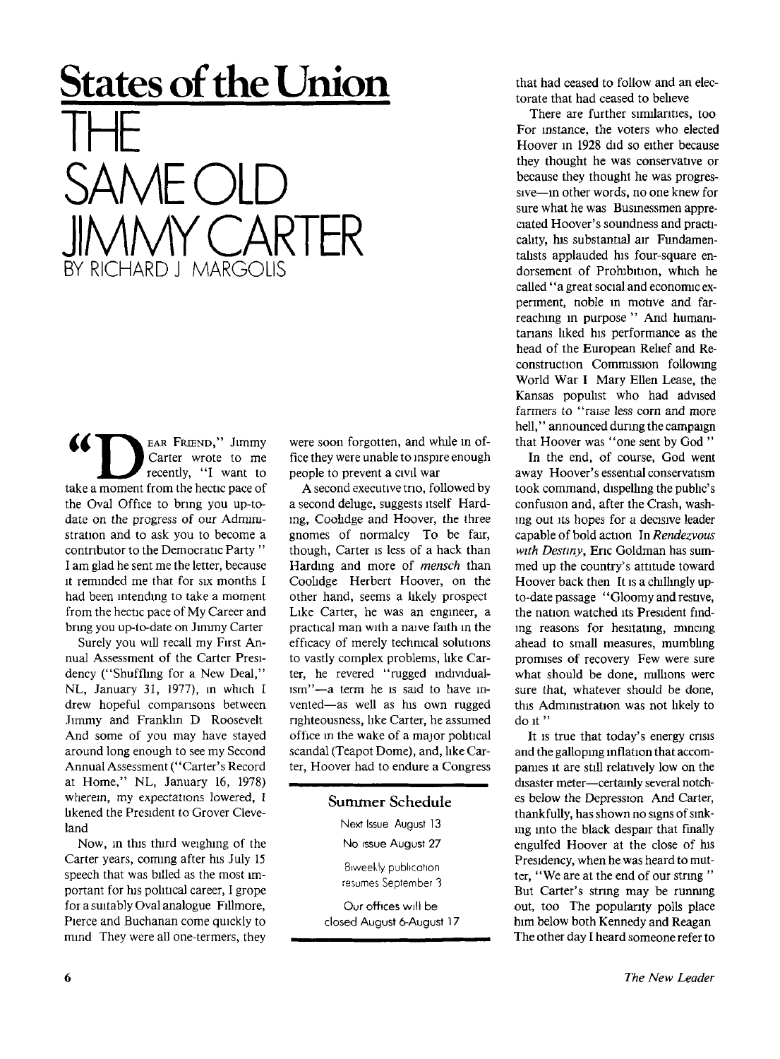## **States of the Union**  THE SANAF (  $\bigcap$ ARIF BY RICHARD J MARGOLIS

EAR FRIEND," Jimmy Carter wrote to me recently, "I want to take a moment from the hectic pace of the Oval Office to bring you up-todate on the progress of our Administration and to ask you to become a contributor to the Democratic Party " I am glad he sent me the letter, because it reminded me that for six months I had been intending to take a moment from the hectic pace of My Career and bring you up-to-date on Jimmy Carter

Surely you will recall my First An nual Assessment of the Carter Presidency ("Shuffling for a New Deal," NL, January 31, 1977), in which I drew hopeful comparisons between Jimmy and Franklin D Roosevelt And some of you may have stayed around long enough to see my Second Annual Assessment ("Carter's Record at Home," NL, January 16, 1978) wherein, my expectations lowered, I likened the President to Grover Cleveland

Now, in this third weighing of the Carter years, coming after his July 15 speech that was billed as the most important for his political career, I grope for a suitably Oval analogue Fillmore, Pierce and Buchanan come quickly to mind They were all one-termers, they were soon forgotten, and while in office they were unable to inspire enough people to prevent a civil war

A second executive trio, followed by a second deluge, suggests itself Harding, Coolidge and Hoover, the three gnomes of normalcy To be fair, though, Carter is less of a hack than Harding and more of *mensch* than Coolidge Herbert Hoover, on the other hand, seems a likely prospect Like Carter, he was an engineer, a practical man with a naive faith in the efficacy of merely technical solutions to vastly complex problems, like Carter, he revered "rugged individualism"—a term he is said to have invented—as well as his own rugged righteousness, like Carter, he assumed office in the wake of a major pobtical scandal (Teapot Dome), and, like Carter, Hoover had to endure a Congress

## **Summer Schedule**

**Next Issue August 1**3

**No issue August 27** 

Biweekly publication resumes September 3

**Our offices will be closed August 6-August 17**  that had ceased to follow and an electorate that had ceased to believe

There are further similarities, too For instance, the voters who elected Hoover in 1928 did so either because they thought he was conservative or because they thought he was progressive—in other words, no one knew for sure what he was Businessmen appreciated Hoover's soundness and practicality, his substantial air Fundamentalists applauded his four-square endorsement of Prohibition, which he called "a great social and economic experiment, noble in motive and farreaching in purpose " And humanitarians liked his performance as the head of the European Relief and Reconstruction Commission following World War I Mary Ellen Lease, the Kansas populist who had advised farmers to "raise less corn and more hell," announced during the campaign that Hoover was "one sent by God "

In the end, of course, God went away Hoover's essential conservatism took command, dispelling the public's confusion and, after the Crash, washing out its hopes for a decisive leader capable of bold action In *Rendezvous with Destiny,* Eric Goldman has summed up the country's attitude toward Hoover back then It is a chillingly upto-date passage "Gloomy and restive. the nation watched its President finding reasons for hesitating, mincing ahead to small measures, mumbling promises of recovery Few were sure what should be done, millions were sure that, whatever should be done, this Administration was not likely to do it"

It is true that today's energy crisis and the galloping inflation that accompanies it are still relatively low on the disaster meter—certainly several notches below the Depression And Carter, thankfully, has shown no signs of sinking into the black despair that finally engulfed Hoover at the close of his Presidency, when he was heard to mutter, "We are at the end of our string " But Carter's string may be running out, too The popularity polls place him below both Kennedy and Reagan The other day I heard someone refer to